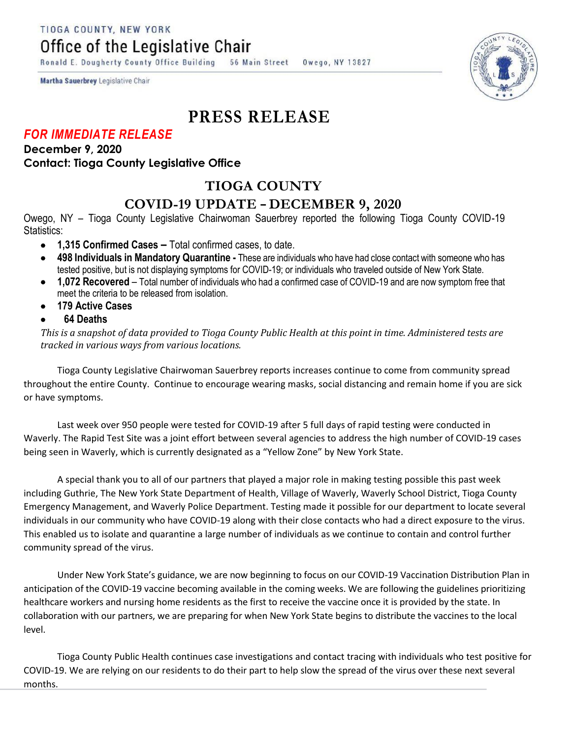TIOGA COUNTY, NEW YORK

Office of the Legislative Chair

Ronald E. Dougherty County Office Building **56 Main Street** Owego, NY 13827





# **PRESS RELEASE**

### *FOR IMMEDIATE RELEASE*

#### **December 9, 2020 Contact: Tioga County Legislative Office**

# **TIOGA COUNTY**

## **COVID-19 UPDATE – DECEMBER 9, 2020**

Owego, NY – Tioga County Legislative Chairwoman Sauerbrey reported the following Tioga County COVID-19 Statistics:

- **1,315 Confirmed Cases –** Total confirmed cases, to date.
- **498 Individuals in Mandatory Quarantine -** These are individuals who have had close contact with someone who has tested positive, but is not displaying symptoms for COVID-19; or individuals who traveled outside of New York State.
- **1,072 Recovered**  Total number of individuals who had a confirmed case of COVID-19 and are now symptom free that meet the criteria to be released from isolation.
- **179 Active Cases**
- **64 Deaths**

*This is a snapshot of data provided to Tioga County Public Health at this point in time. Administered tests are tracked in various ways from various locations.*

Tioga County Legislative Chairwoman Sauerbrey reports increases continue to come from community spread throughout the entire County. Continue to encourage wearing masks, social distancing and remain home if you are sick or have symptoms.

Last week over 950 people were tested for COVID-19 after 5 full days of rapid testing were conducted in Waverly. The Rapid Test Site was a joint effort between several agencies to address the high number of COVID-19 cases being seen in Waverly, which is currently designated as a "Yellow Zone" by New York State.

A special thank you to all of our partners that played a major role in making testing possible this past week including Guthrie, The New York State Department of Health, Village of Waverly, Waverly School District, Tioga County Emergency Management, and Waverly Police Department. Testing made it possible for our department to locate several individuals in our community who have COVID-19 along with their close contacts who had a direct exposure to the virus. This enabled us to isolate and quarantine a large number of individuals as we continue to contain and control further community spread of the virus.

Under New York State's guidance, we are now beginning to focus on our COVID-19 Vaccination Distribution Plan in anticipation of the COVID-19 vaccine becoming available in the coming weeks. We are following the guidelines prioritizing healthcare workers and nursing home residents as the first to receive the vaccine once it is provided by the state. In collaboration with our partners, we are preparing for when New York State begins to distribute the vaccines to the local level.

Tioga County Public Health continues case investigations and contact tracing with individuals who test positive for COVID-19. We are relying on our residents to do their part to help slow the spread of the virus over these next several months.